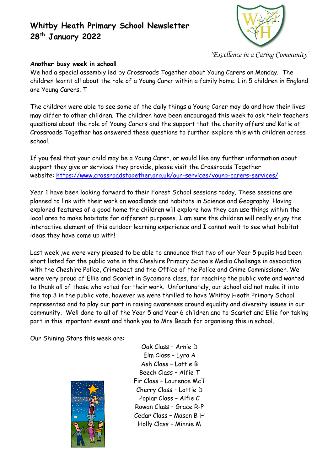# **Whitby Heath Primary School Newsletter 28 th January 2022**



*'Excellence in a Caring Community'*

#### **Another busy week in school!**

We had a special assembly led by Crossroads Together about Young Carers on Monday. The children learnt all about the role of a Young Carer within a family home. 1 in 5 children in England are Young Carers. T

The children were able to see some of the daily things a Young Carer may do and how their lives may differ to other children. The children have been encouraged this week to ask their teachers questions about the role of Young Carers and the support that the charity offers and Katie at Crossroads Together has answered these questions to further explore this with children across school.

If you feel that your child may be a Young Carer, or would like any further information about support they give or services they provide, please visit the Crossroads Together website: <https://www.crossroadstogether.org.uk/our-services/young-carers-services/>

Year 1 have been looking forward to their Forest School sessions today. These sessions are planned to link with their work on woodlands and habitats in Science and Geography. Having explored features of a good home the children will explore how they can use things within the local area to make habitats for different purposes. I am sure the children will really enjoy the interactive element of this outdoor learning experience and I cannot wait to see what habitat ideas they have come up with!

Last week ,we were very pleased to be able to announce that two of our Year 5 pupils had been short listed for the public vote in the Cheshire Primary Schools Media Challenge in association with the Cheshire Police, Crimebeat and the Office of the Police and Crime Commissioner. We were very proud of Ellie and Scarlet in Sycamore class, for reaching the public vote and wanted to thank all of those who voted for their work. Unfortunately, our school did not make it into the top 3 in the public vote, however we were thrilled to have Whitby Heath Primary School represented and to play our part in raising awareness around equality and diversity issues in our community. Well done to all of the Year 5 and Year 6 children and to Scarlet and Ellie for taking part in this important event and thank you to Mrs Beach for organising this in school.

Our Shining Stars this week are:



Oak Class – Arnie D Elm Class – Lyra A Ash Class – Lottie B Beech Class – Alfie T Fir Class – Laurence McT Cherry Class – Lottie D Poplar Class – Alfie C Rowan Class – Grace R-P Cedar Class – Mason B-H Holly Class – Minnie M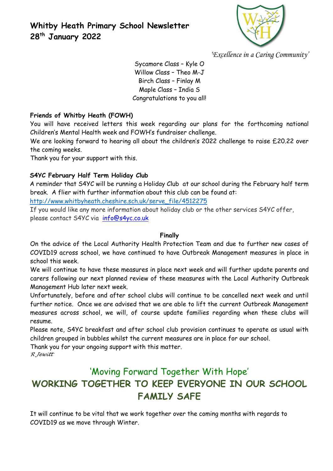

*'Excellence in a Caring Community'*

Sycamore Class – Kyle O Willow Class – Theo M-J Birch Class – Finlay M Maple Class – India S Congratulations to you all!

## **Friends of Whitby Heath (FOWH)**

You will have received letters this week regarding our plans for the forthcoming national Children's Mental Health week and FOWH's fundraiser challenge.

We are looking forward to hearing all about the children's 2022 challenge to raise £20.22 over the coming weeks.

Thank you for your support with this.

# **S4YC February Half Term Holiday Club**

A reminder that S4YC will be running a Holiday Club at our school during the February half term break. A flier with further information about this club can be found at:

[http://www.whitbyheath.cheshire.sch.uk/serve\\_file/4512275](http://www.whitbyheath.cheshire.sch.uk/serve_file/4512275)

If you would like any more information about holiday club or the other services S4YC offer, please contact S4YC via [info@s4yc.co.uk](mailto:info@s4yc.co.uk)

#### **Finally**

On the advice of the Local Authority Health Protection Team and due to further new cases of COVID19 across school, we have continued to have Outbreak Management measures in place in school this week.

We will continue to have these measures in place next week and will further update parents and carers following our next planned review of these measures with the Local Authority Outbreak Management Hub later next week.

Unfortunately, before and after school clubs will continue to be cancelled next week and until further notice. Once we are advised that we are able to lift the current Outbreak Management measures across school, we will, of course update families regarding when these clubs will resume.

Please note, S4YC breakfast and after school club provision continues to operate as usual with children grouped in bubbles whilst the current measures are in place for our school.

Thank you for your ongoing support with this matter.

*R Jewitt*

# 'Moving Forward Together With Hope' **WORKING TOGETHER TO KEEP EVERYONE IN OUR SCHOOL FAMILY SAFE**

It will continue to be vital that we work together over the coming months with regards to COVID19 as we move through Winter.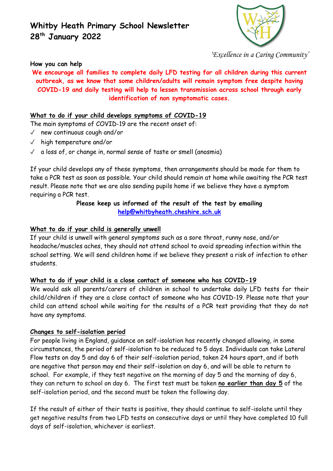# **Whitby Heath Primary School Newsletter 28 th January 2022**



*'Excellence in a Caring Community'*

#### **How you can help**

**We encourage all families to complete daily LFD testing for all children during this current outbreak, as we know that some children/adults will remain symptom free despite having COVID-19 and daily testing will help to lessen transmission across school through early identification of non symptomatic cases.**

#### **What to do if your child develops symptoms of COVID-19**

The main symptoms of COVID-19 are the recent onset of:

- ✓ new continuous cough and/or
- ✓ high temperature and/or
- $\sqrt{a}$  a loss of, or change in, normal sense of taste or smell (anosmia)

If your child develops any of these symptoms, then arrangements should be made for them to take a PCR test as soon as possible. Your child should remain at home while awaiting the PCR test result. Please note that we are also sending pupils home if we believe they have a symptom requiring a PCR test.

#### **Please keep us informed of the result of the test by emailing [help@whitbyheath.cheshire.sch.uk](mailto:help@whitbyheath.cheshire.sch.uk)**

#### **What to do if your child is generally unwell**

If your child is unwell with general symptoms such as a sore throat, runny nose, and/or headache/muscles aches, they should not attend school to avoid spreading infection within the school setting. We will send children home if we believe they present a risk of infection to other students.

#### **What to do if your child is a close contact of someone who has COVID-19**

We would ask all parents/carers of children in school to undertake daily LFD tests for their child/children if they are a close contact of someone who has COVID-19. Please note that your child can attend school while waiting for the results of a PCR test providing that they do not have any symptoms.

#### **Changes to self-isolation period**

For people living in England, guidance on self-isolation has recently changed allowing, in some circumstances, the period of self-isolation to be reduced to 5 days. Individuals can take Lateral Flow tests on day 5 and day 6 of their self-isolation period, taken 24 hours apart, and if both are negative that person may end their self-isolation on day 6, and will be able to return to school. For example, if they test negative on the morning of day 5 and the morning of day 6, they can return to school on day 6. The first test must be taken **no earlier than day 5** of the self-isolation period, and the second must be taken the following day.

If the result of either of their tests is positive, they should continue to self-isolate until they get negative results from two LFD tests on consecutive days or until they have completed 10 full days of self-isolation, whichever is earliest.